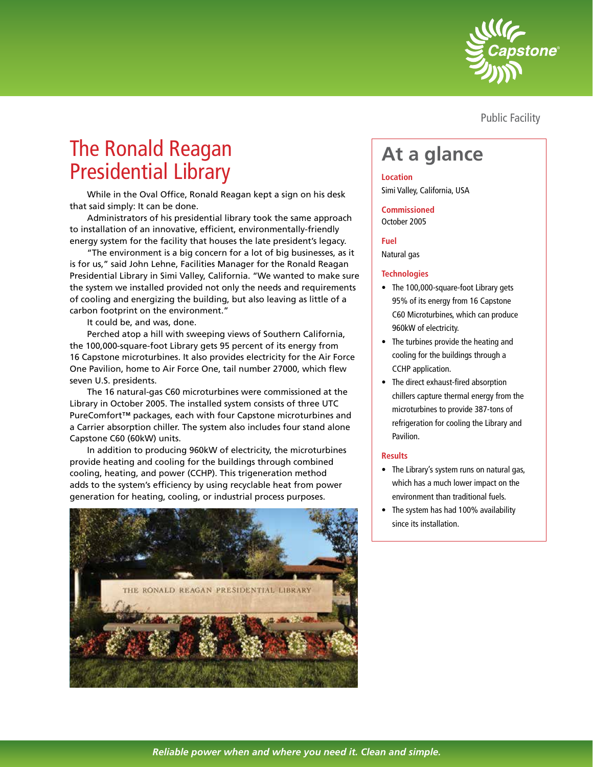

Public Facility

# The Ronald Reagan The Ronald Reagan<br>Presidential Library **At a glance**

While in the Oval Office, Ronald Reagan kept a sign on his desk that said simply: It can be done.

Administrators of his presidential library took the same approach to installation of an innovative, efficient, environmentally-friendly energy system for the facility that houses the late president's legacy.

"The environment is a big concern for a lot of big businesses, as it is for us," said John Lehne, Facilities Manager for the Ronald Reagan Presidential Library in Simi Valley, California. "We wanted to make sure the system we installed provided not only the needs and requirements of cooling and energizing the building, but also leaving as little of a carbon footprint on the environment."

It could be, and was, done.

Perched atop a hill with sweeping views of Southern California, the 100,000-square-foot Library gets 95 percent of its energy from 16 Capstone microturbines. It also provides electricity for the Air Force One Pavilion, home to Air Force One, tail number 27000, which flew seven U.S. presidents.

The 16 natural-gas C60 microturbines were commissioned at the Library in October 2005. The installed system consists of three UTC PureComfort™ packages, each with four Capstone microturbines and a Carrier absorption chiller. The system also includes four stand alone Capstone C60 (60kW) units.

In addition to producing 960kW of electricity, the microturbines provide heating and cooling for the buildings through combined cooling, heating, and power (CCHP). This trigeneration method adds to the system's efficiency by using recyclable heat from power generation for heating, cooling, or industrial process purposes.



# **Location**

Simi Valley, California, USA

**Commissioned** October 2005

# **Fuel**

Natural gas

# **Technologies**

- The 100,000-square-foot Library gets 95% of its energy from 16 Capstone C60 Microturbines, which can produce 960kW of electricity.
- The turbines provide the heating and cooling for the buildings through a CCHP application.
- The direct exhaust-fired absorption chillers capture thermal energy from the microturbines to provide 387-tons of refrigeration for cooling the Library and Pavilion.

# **Results**

- The Library's system runs on natural gas, which has a much lower impact on the environment than traditional fuels.
- The system has had 100% availability since its installation.